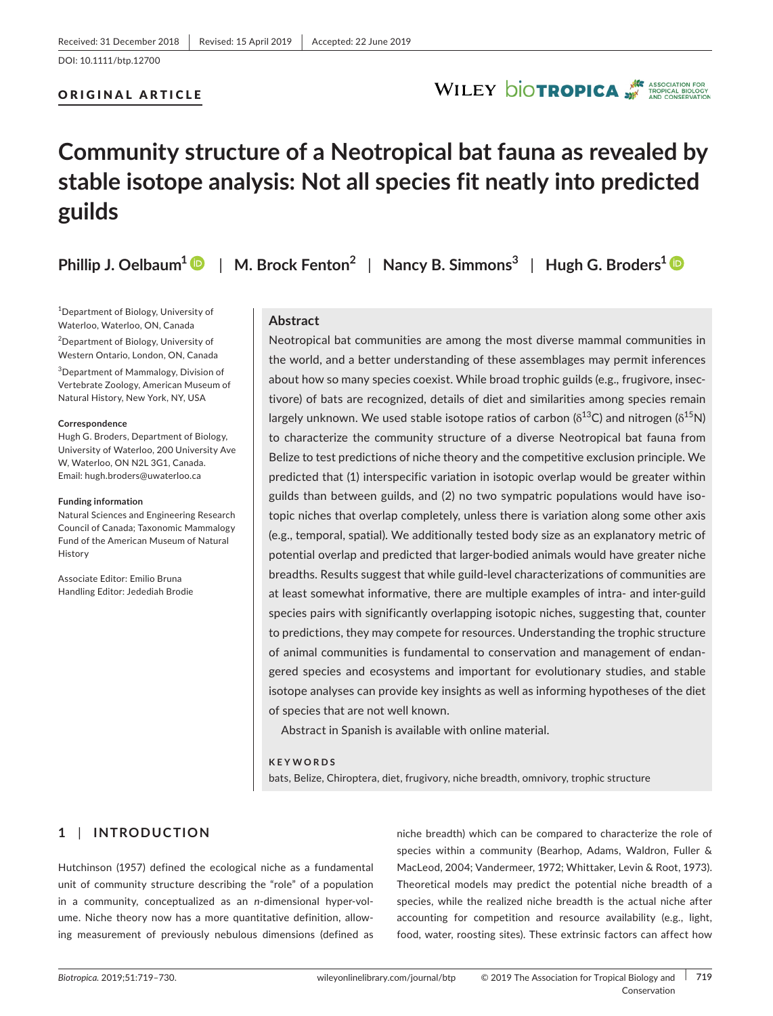# ORIGINAL ARTICLE

# **Community structure of a Neotropical bat fauna as revealed by stable isotope analysis: Not all species fit neatly into predicted guilds**

**Phillip J. Oelbaum[1](https://orcid.org/0000-0002-9152-1658)** | **M. Brock Fenton<sup>2</sup>** | **Nancy B. Simmons<sup>3</sup>** | **Hugh G. Broders<sup>1</sup>**

1 Department of Biology, University of Waterloo, Waterloo, ON, Canada <sup>2</sup>Department of Biology, University of Western Ontario, London, ON, Canada

3 Department of Mammalogy, Division of Vertebrate Zoology, American Museum of Natural History, New York, NY, USA

#### **Correspondence**

Hugh G. Broders, Department of Biology, University of Waterloo, 200 University Ave W, Waterloo, ON N2L 3G1, Canada. Email: [hugh.broders@uwaterloo.ca](mailto:hugh.broders@uwaterloo.ca)

#### **Funding information**

Natural Sciences and Engineering Research Council of Canada; Taxonomic Mammalogy Fund of the American Museum of Natural History

Associate Editor: Emilio Bruna Handling Editor: Jedediah Brodie

# **Abstract**

Neotropical bat communities are among the most diverse mammal communities in the world, and a better understanding of these assemblages may permit inferences about how so many species coexist. While broad trophic guilds (e.g.*,* frugivore, insec‐ tivore) of bats are recognized, details of diet and similarities among species remain largely unknown. We used stable isotope ratios of carbon ( $\delta^{13}$ C) and nitrogen ( $\delta^{15}$ N) to characterize the community structure of a diverse Neotropical bat fauna from Belize to test predictions of niche theory and the competitive exclusion principle. We predicted that (1) interspecific variation in isotopic overlap would be greater within guilds than between guilds, and (2) no two sympatric populations would have iso‐ topic niches that overlap completely, unless there is variation along some other axis (e.g., temporal, spatial). We additionally tested body size as an explanatory metric of potential overlap and predicted that larger‐bodied animals would have greater niche breadths. Results suggest that while guild‐level characterizations of communities are at least somewhat informative, there are multiple examples of intra- and inter-guild species pairs with significantly overlapping isotopic niches, suggesting that, counter to predictions, they may compete for resources. Understanding the trophic structure of animal communities is fundamental to conservation and management of endan‐ gered species and ecosystems and important for evolutionary studies, and stable isotope analyses can provide key insights as well as informing hypotheses of the diet of species that are not well known.

WILEY **DIOTROPICA** 

Abstract in Spanish is available with online material.

**KEYWORDS**

bats, Belize, Chiroptera, diet, frugivory, niche breadth, omnivory, trophic structure

# **1** | **INTRODUCTION**

Hutchinson (1957) defined the ecological niche as a fundamental unit of community structure describing the "role" of a population in a community, conceptualized as an *n*-dimensional hyper-volume. Niche theory now has a more quantitative definition, allow‐ ing measurement of previously nebulous dimensions (defined as

niche breadth) which can be compared to characterize the role of species within a community (Bearhop, Adams, Waldron, Fuller & MacLeod, 2004; Vandermeer, 1972; Whittaker, Levin & Root, 1973). Theoretical models may predict the potential niche breadth of a species, while the realized niche breadth is the actual niche after accounting for competition and resource availability (e.g., light, food, water, roosting sites). These extrinsic factors can affect how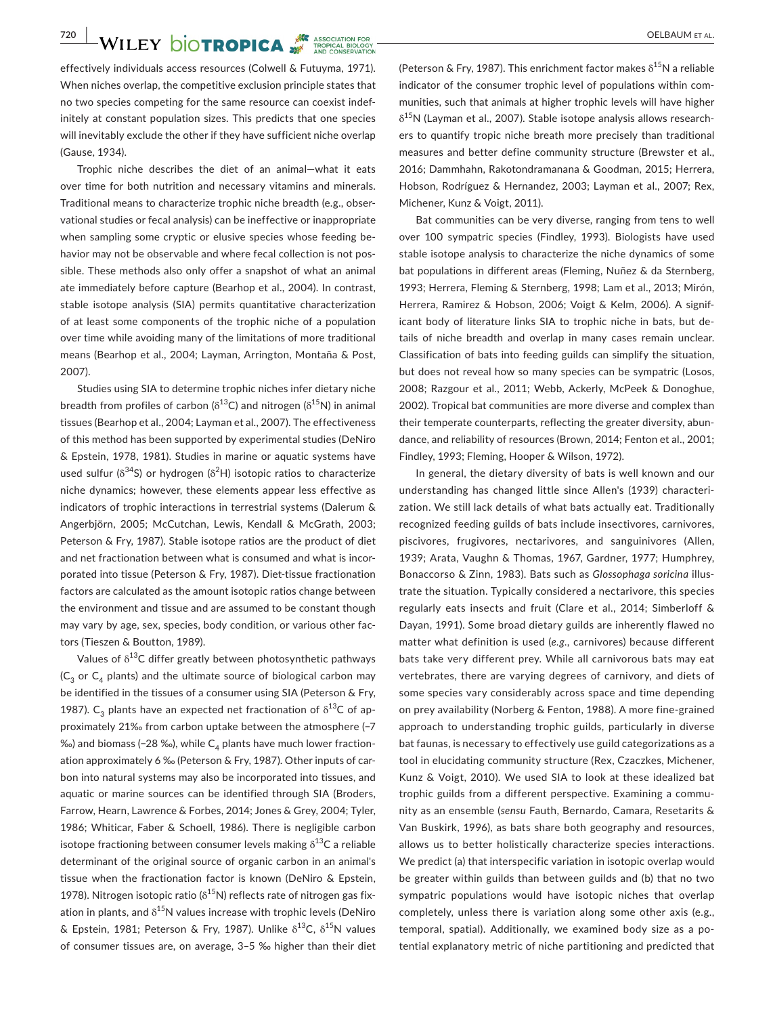**720 WILEY DIOTROPICA** 

effectively individuals access resources (Colwell & Futuyma, 1971). When niches overlap, the competitive exclusion principle states that no two species competing for the same resource can coexist indef‐ initely at constant population sizes. This predicts that one species will inevitably exclude the other if they have sufficient niche overlap (Gause, 1934).

Trophic niche describes the diet of an animal—what it eats over time for both nutrition and necessary vitamins and minerals. Traditional means to characterize trophic niche breadth (e.g., obser‐ vational studies or fecal analysis) can be ineffective or inappropriate when sampling some cryptic or elusive species whose feeding behavior may not be observable and where fecal collection is not possible. These methods also only offer a snapshot of what an animal ate immediately before capture (Bearhop et al., 2004). In contrast, stable isotope analysis (SIA) permits quantitative characterization of at least some components of the trophic niche of a population over time while avoiding many of the limitations of more traditional means (Bearhop et al., 2004; Layman, Arrington, Montaña & Post, 2007).

Studies using SIA to determine trophic niches infer dietary niche breadth from profiles of carbon ( $\delta^{13}$ C) and nitrogen ( $\delta^{15}$ N) in animal tissues (Bearhop et al., 2004; Layman et al., 2007). The effectiveness of this method has been supported by experimental studies (DeNiro & Epstein, 1978, 1981). Studies in marine or aquatic systems have used sulfur ( $\delta^{34}$ S) or hydrogen ( $\delta^2$ H) isotopic ratios to characterize niche dynamics; however, these elements appear less effective as indicators of trophic interactions in terrestrial systems (Dalerum & Angerbjörn, 2005; McCutchan, Lewis, Kendall & McGrath, 2003; Peterson & Fry, 1987). Stable isotope ratios are the product of diet and net fractionation between what is consumed and what is incorporated into tissue (Peterson & Fry, 1987). Diet‐tissue fractionation factors are calculated as the amount isotopic ratios change between the environment and tissue and are assumed to be constant though may vary by age, sex, species, body condition, or various other fac‐ tors (Tieszen & Boutton, 1989).

Values of  $\delta^{13}$ C differ greatly between photosynthetic pathways  $(C_3$  or  $C_4$  plants) and the ultimate source of biological carbon may be identified in the tissues of a consumer using SIA (Peterson & Fry, 1987). C<sub>3</sub> plants have an expected net fractionation of  $\delta^{13}C$  of approximately 21‰ from carbon uptake between the atmosphere (-7 ‰) and biomass (−28 ‰), while C<sub>4</sub> plants have much lower fractionation approximately 6 ‰ (Peterson & Fry, 1987). Other inputs of car‐ bon into natural systems may also be incorporated into tissues, and aquatic or marine sources can be identified through SIA (Broders, Farrow, Hearn, Lawrence & Forbes, 2014; Jones & Grey, 2004; Tyler, 1986; Whiticar, Faber & Schoell, 1986). There is negligible carbon isotope fractioning between consumer levels making  $\delta^{13}$ C a reliable determinant of the original source of organic carbon in an animal's tissue when the fractionation factor is known (DeNiro & Epstein, 1978). Nitrogen isotopic ratio ( $\delta^{15}$ N) reflects rate of nitrogen gas fixation in plants, and  $\delta^{15}$ N values increase with trophic levels (DeNiro & Epstein, 1981; Peterson & Fry, 1987). Unlike  $\delta^{13}C$ ,  $\delta^{15}N$  values of consumer tissues are, on average, 3–5 ‰ higher than their diet

(Peterson & Fry, 1987). This enrichment factor makes  $\delta^{15}N$  a reliable indicator of the consumer trophic level of populations within communities, such that animals at higher trophic levels will have higher  $\delta^{15}$ N (Layman et al., 2007). Stable isotope analysis allows researchers to quantify tropic niche breath more precisely than traditional measures and better define community structure (Brewster et al., 2016; Dammhahn, Rakotondramanana & Goodman, 2015; Herrera, Hobson, Rodríguez & Hernandez, 2003; Layman et al., 2007; Rex, Michener, Kunz & Voigt, 2011).

Bat communities can be very diverse, ranging from tens to well over 100 sympatric species (Findley, 1993). Biologists have used stable isotope analysis to characterize the niche dynamics of some bat populations in different areas (Fleming, Nuñez & da Sternberg, 1993; Herrera, Fleming & Sternberg, 1998; Lam et al., 2013; Mirón, Herrera, Ramirez & Hobson, 2006; Voigt & Kelm, 2006). A signif‐ icant body of literature links SIA to trophic niche in bats, but de‐ tails of niche breadth and overlap in many cases remain unclear. Classification of bats into feeding guilds can simplify the situation, but does not reveal how so many species can be sympatric (Losos, 2008; Razgour et al., 2011; Webb, Ackerly, McPeek & Donoghue, 2002). Tropical bat communities are more diverse and complex than their temperate counterparts, reflecting the greater diversity, abun‐ dance, and reliability of resources (Brown, 2014; Fenton et al., 2001; Findley, 1993; Fleming, Hooper & Wilson, 1972).

In general, the dietary diversity of bats is well known and our understanding has changed little since Allen's (1939) characteri‐ zation. We still lack details of what bats actually eat. Traditionally recognized feeding guilds of bats include insectivores, carnivores, piscivores, frugivores, nectarivores, and sanguinivores (Allen, 1939; Arata, Vaughn & Thomas, 1967, Gardner, 1977; Humphrey, Bonaccorso & Zinn, 1983). Bats such as *Glossophaga soricina* illus‐ trate the situation. Typically considered a nectarivore, this species regularly eats insects and fruit (Clare et al., 2014; Simberloff & Dayan, 1991). Some broad dietary guilds are inherently flawed no matter what definition is used (*e.g.,* carnivores) because different bats take very different prey. While all carnivorous bats may eat vertebrates, there are varying degrees of carnivory, and diets of some species vary considerably across space and time depending on prey availability (Norberg & Fenton, 1988). A more fine‐grained approach to understanding trophic guilds, particularly in diverse bat faunas, is necessary to effectively use guild categorizations as a tool in elucidating community structure (Rex, Czaczkes, Michener, Kunz & Voigt, 2010). We used SIA to look at these idealized bat trophic guilds from a different perspective. Examining a commu‐ nity as an ensemble (*sensu* Fauth, Bernardo, Camara, Resetarits & Van Buskirk, 1996), as bats share both geography and resources, allows us to better holistically characterize species interactions. We predict (a) that interspecific variation in isotopic overlap would be greater within guilds than between guilds and (b) that no two sympatric populations would have isotopic niches that overlap completely, unless there is variation along some other axis (e.g., temporal, spatial). Additionally, we examined body size as a po‐ tential explanatory metric of niche partitioning and predicted that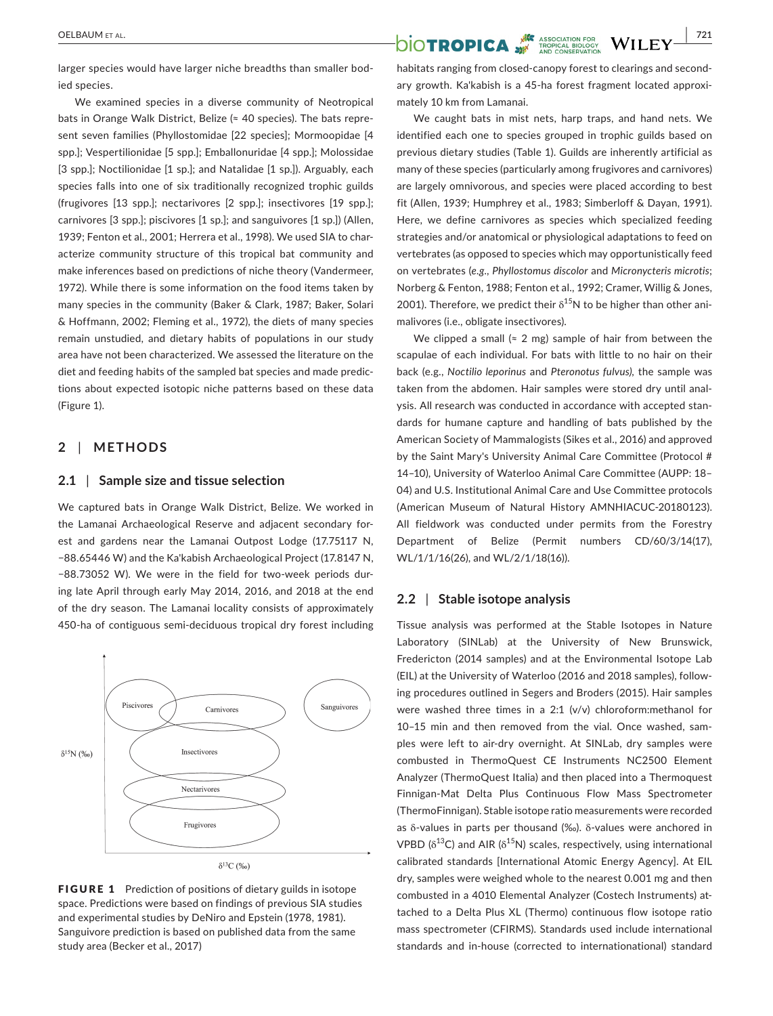larger species would have larger niche breadths than smaller bod‐ ied species.

We examined species in a diverse community of Neotropical bats in Orange Walk District, Belize (≈ 40 species). The bats repre‐ sent seven families (Phyllostomidae [22 species]; Mormoopidae [4 spp.]; Vespertilionidae [5 spp.]; Emballonuridae [4 spp.]; Molossidae [3 spp.]; Noctilionidae [1 sp.]; and Natalidae [1 sp.]). Arguably, each species falls into one of six traditionally recognized trophic guilds (frugivores [13 spp.]; nectarivores [2 spp.]; insectivores [19 spp.]; carnivores [3 spp.]; piscivores [1 sp.]; and sanguivores [1 sp.]) (Allen, 1939; Fenton et al., 2001; Herrera et al., 1998). We used SIA to char‐ acterize community structure of this tropical bat community and make inferences based on predictions of niche theory (Vandermeer, 1972). While there is some information on the food items taken by many species in the community (Baker & Clark, 1987; Baker, Solari & Hoffmann, 2002; Fleming et al., 1972), the diets of many species remain unstudied, and dietary habits of populations in our study area have not been characterized. We assessed the literature on the diet and feeding habits of the sampled bat species and made predic‐ tions about expected isotopic niche patterns based on these data (Figure 1).

## **2** | **METHODS**

#### **2.1** | **Sample size and tissue selection**

We captured bats in Orange Walk District, Belize. We worked in the Lamanai Archaeological Reserve and adjacent secondary for‐ est and gardens near the Lamanai Outpost Lodge (17.75117 N, −88.65446 W) and the Ka'kabish Archaeological Project (17.8147 N, −88.73052 W). We were in the field for two‐week periods dur‐ ing late April through early May 2014, 2016, and 2018 at the end of the dry season. The Lamanai locality consists of approximately 450-ha of contiguous semi-deciduous tropical dry forest including



**FIGURE 1** Prediction of positions of dietary guilds in isotope space. Predictions were based on findings of previous SIA studies and experimental studies by DeNiro and Epstein (1978, 1981). Sanguivore prediction is based on published data from the same study area (Becker et al., 2017)

habitats ranging from closed‐canopy forest to clearings and second‐ ary growth. Ka'kabish is a 45‐ha forest fragment located approxi‐ mately 10 km from Lamanai.

We caught bats in mist nets, harp traps, and hand nets. We identified each one to species grouped in trophic guilds based on previous dietary studies (Table 1). Guilds are inherently artificial as many of these species (particularly among frugivores and carnivores) are largely omnivorous, and species were placed according to best fit (Allen, 1939; Humphrey et al., 1983; Simberloff & Dayan, 1991). Here, we define carnivores as species which specialized feeding strategies and/or anatomical or physiological adaptations to feed on vertebrates (as opposed to species which may opportunistically feed on vertebrates (*e.g., Phyllostomus discolor* and *Micronycteris microtis*; Norberg & Fenton, 1988; Fenton et al., 1992; Cramer, Willig & Jones, 2001). Therefore, we predict their  $\delta^{15}$ N to be higher than other animalivores (i.e., obligate insectivores).

We clipped a small ( $\approx$  2 mg) sample of hair from between the scapulae of each individual. For bats with little to no hair on their back (e.g., *Noctilio leporinus* and *Pteronotus fulvus),* the sample was taken from the abdomen. Hair samples were stored dry until anal‐ ysis. All research was conducted in accordance with accepted stan‐ dards for humane capture and handling of bats published by the American Society of Mammalogists (Sikes et al., 2016) and approved by the Saint Mary's University Animal Care Committee (Protocol # 14–10), University of Waterloo Animal Care Committee (AUPP: 18– 04) and U.S. Institutional Animal Care and Use Committee protocols (American Museum of Natural History AMNHIACUC‐20180123). All fieldwork was conducted under permits from the Forestry Department of Belize (Permit numbers CD/60/3/14(17), WL/1/1/16(26), and WL/2/1/18(16)).

### **2.2** | **Stable isotope analysis**

Tissue analysis was performed at the Stable Isotopes in Nature Laboratory (SINLab) at the University of New Brunswick, Fredericton (2014 samples) and at the Environmental Isotope Lab (EIL) at the University of Waterloo (2016 and 2018 samples), follow‐ ing procedures outlined in Segers and Broders (2015). Hair samples were washed three times in a 2:1 (v/v) chloroform:methanol for 10–15 min and then removed from the vial. Once washed, sam‐ ples were left to air‐dry overnight. At SINLab, dry samples were combusted in ThermoQuest CE Instruments NC2500 Element Analyzer (ThermoQuest Italia) and then placed into a Thermoquest Finnigan‐Mat Delta Plus Continuous Flow Mass Spectrometer (ThermoFinnigan). Stable isotope ratio measurements were recorded as δ‐values in parts per thousand (‰). δ‐values were anchored in VPBD ( $\delta^{13}$ C) and AIR ( $\delta^{15}$ N) scales, respectively, using international calibrated standards [International Atomic Energy Agency]. At EIL dry, samples were weighed whole to the nearest 0.001 mg and then combusted in a 4010 Elemental Analyzer (Costech Instruments) at‐ tached to a Delta Plus XL (Thermo) continuous flow isotope ratio mass spectrometer (CFIRMS). Standards used include international standards and in‐house (corrected to internationational) standard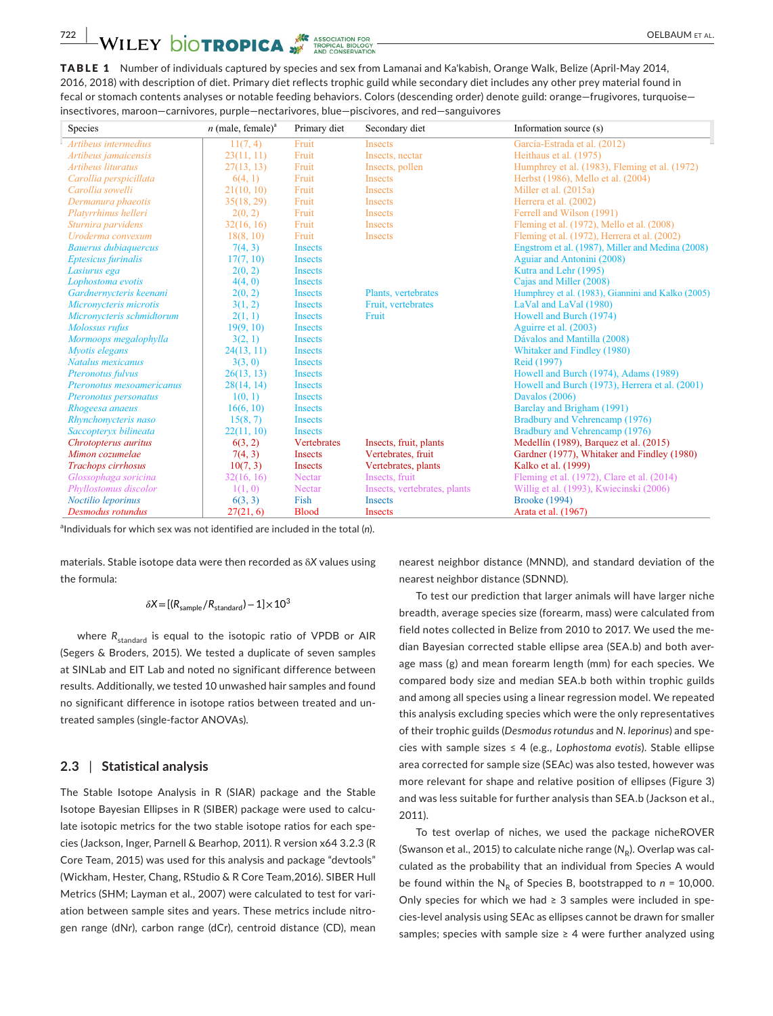TABLE 1 Number of individuals captured by species and sex from Lamanai and Ka'kabish, Orange Walk, Belize (April‐May 2014, 2016, 2018) with description of diet. Primary diet reflects trophic guild while secondary diet includes any other prey material found in fecal or stomach contents analyses or notable feeding behaviors. Colors (descending order) denote guild: orange—frugivores, turquoise insectivores, maroon—carnivores, purple—nectarivores, blue—piscivores, and red—sanguivores

| Species                     | $n$ (male, female) <sup>a</sup> | Primary diet       | Secondary diet               | Information source (s)                            |  |  |  |  |  |
|-----------------------------|---------------------------------|--------------------|------------------------------|---------------------------------------------------|--|--|--|--|--|
| Artibeus intermedius        | 11(7, 4)                        | Fruit              | <b>Insects</b>               | García-Estrada et al. (2012)                      |  |  |  |  |  |
| Artibeus jamaicensis        | 23(11, 11)                      | Fruit              | Insects, nectar              | Heithaus et al. (1975)                            |  |  |  |  |  |
| Artibeus lituratus          | 27(13, 13)                      | Fruit              | Insects, pollen              | Humphrey et al. (1983), Fleming et al. (1972)     |  |  |  |  |  |
| Carollia perspicillata      | 6(4, 1)                         | Fruit              | Insects                      | Herbst (1986), Mello et al. (2004)                |  |  |  |  |  |
| Carollia sowelli            | 21(10, 10)                      | Fruit              | <b>Insects</b>               | Miller et al. (2015a)                             |  |  |  |  |  |
| Dermanura phaeotis          | 35(18, 29)                      | Fruit              | <b>Insects</b>               | Herrera et al. (2002)                             |  |  |  |  |  |
| Platyrrhinus helleri        | 2(0, 2)                         | Fruit              | <b>Insects</b>               | Ferrell and Wilson (1991)                         |  |  |  |  |  |
| Sturnira parvidens          | 32(16, 16)                      | Fruit              | <b>Insects</b>               | Fleming et al. (1972), Mello et al. (2008)        |  |  |  |  |  |
| Uroderma convexum           | 18(8, 10)                       | Fruit              | <b>Insects</b>               | Fleming et al. (1972), Herrera et al. (2002)      |  |  |  |  |  |
| <b>Bauerus dubiaquercus</b> | 7(4, 3)                         | <b>Insects</b>     |                              | Engstrom et al. (1987), Miller and Medina (2008)  |  |  |  |  |  |
| <b>Eptesicus</b> furinalis  | 17(7, 10)                       | <b>Insects</b>     |                              | Aguiar and Antonini (2008)                        |  |  |  |  |  |
| Lasiurus ega                | 2(0, 2)                         | <b>Insects</b>     |                              | Kutra and Lehr (1995)                             |  |  |  |  |  |
| Lophostoma evotis           | 4(4, 0)                         | <b>Insects</b>     |                              | Cajas and Miller (2008)                           |  |  |  |  |  |
| Gardnernycteris keenani     | 2(0, 2)                         | <b>Insects</b>     | Plants, vertebrates          | Humphrey et al. (1983), Giannini and Kalko (2005) |  |  |  |  |  |
| Micronycteris microtis      | 3(1, 2)                         | <b>Insects</b>     | Fruit, vertebrates           | LaVal and LaVal (1980)                            |  |  |  |  |  |
| Micronycteris schmidtorum   | 2(1, 1)                         | <b>Insects</b>     | Fruit                        | Howell and Burch (1974)                           |  |  |  |  |  |
| Molossus rufus              | 19(9, 10)                       | <b>Insects</b>     |                              | Aguirre et al. (2003)                             |  |  |  |  |  |
| Mormoops megalophylla       | 3(2, 1)                         | <b>Insects</b>     |                              | Dávalos and Mantilla (2008)                       |  |  |  |  |  |
| Myotis elegans              | 24(13, 11)                      | <b>Insects</b>     |                              | Whitaker and Findley (1980)                       |  |  |  |  |  |
| Natalus mexicanus           | 3(3, 0)                         | <b>Insects</b>     |                              | Reid (1997)                                       |  |  |  |  |  |
| Pteronotus fulvus           | 26(13, 13)                      | <b>Insects</b>     |                              | Howell and Burch (1974), Adams (1989)             |  |  |  |  |  |
| Pteronotus mesoamericanus   | 28(14, 14)                      | <b>Insects</b>     |                              | Howell and Burch (1973), Herrera et al. (2001)    |  |  |  |  |  |
| Pteronotus personatus       | 1(0, 1)                         | <b>Insects</b>     |                              | Davalos (2006)                                    |  |  |  |  |  |
| Rhogeesa anaeus             | 16(6, 10)                       | <b>Insects</b>     |                              | Barclay and Brigham (1991)                        |  |  |  |  |  |
| Rhynchonycteris naso        | 15(8, 7)                        | <b>Insects</b>     |                              | Bradbury and Vehrencamp (1976)                    |  |  |  |  |  |
| Saccopteryx bilineata       | 22(11, 10)                      | <b>Insects</b>     |                              | Bradbury and Vehrencamp (1976)                    |  |  |  |  |  |
| Chrotopterus auritus        | 6(3, 2)                         | <b>Vertebrates</b> | Insects, fruit, plants       | Medellín (1989), Barquez et al. (2015)            |  |  |  |  |  |
| Mimon cozumelae             | 7(4, 3)                         | Insects            | Vertebrates, fruit           | Gardner (1977), Whitaker and Findley (1980)       |  |  |  |  |  |
| Trachops cirrhosus          | 10(7, 3)                        | <b>Insects</b>     | Vertebrates, plants          | Kalko et al. (1999)                               |  |  |  |  |  |
| Glossophaga soricina        | 32(16, 16)                      | Nectar             | Insects, fruit               | Fleming et al. (1972), Clare et al. (2014)        |  |  |  |  |  |
| Phyllostomus discolor       | 1(1, 0)                         | Nectar             | Insects, vertebrates, plants | Willig et al. (1993), Kwiecinski (2006)           |  |  |  |  |  |
| Noctilio leporinus          | 6(3, 3)                         | Fish               | <b>Insects</b>               | <b>Brooke (1994)</b>                              |  |  |  |  |  |
| Desmodus rotundus           | 27(21, 6)                       | <b>Blood</b>       | <b>Insects</b>               | Arata et al. (1967)                               |  |  |  |  |  |

a Individuals for which sex was not identified are included in the total (*n*).

materials. Stable isotope data were then recorded as δ*X* values using the formula:

#### $\delta X = [(R_{\text{sample}}/R_{\text{standard}})-1] \times 10^3$

where R<sub>standard</sub> is equal to the isotopic ratio of VPDB or AIR (Segers & Broders, 2015). We tested a duplicate of seven samples at SINLab and EIT Lab and noted no significant difference between results. Additionally, we tested 10 unwashed hair samples and found no significant difference in isotope ratios between treated and un‐ treated samples (single‐factor ANOVAs).

# **2.3** | **Statistical analysis**

The Stable Isotope Analysis in R (SIAR) package and the Stable Isotope Bayesian Ellipses in R (SIBER) package were used to calcu‐ late isotopic metrics for the two stable isotope ratios for each spe‐ cies (Jackson, Inger, Parnell & Bearhop, 2011). R version x64 3.2.3 (R Core Team, 2015) was used for this analysis and package "devtools" (Wickham, Hester, Chang, RStudio & R Core Team,2016). SIBER Hull Metrics (SHM; Layman et al., 2007) were calculated to test for variation between sample sites and years. These metrics include nitro‐ gen range (dNr), carbon range (dCr), centroid distance (CD), mean nearest neighbor distance (MNND), and standard deviation of the nearest neighbor distance (SDNND).

To test our prediction that larger animals will have larger niche breadth, average species size (forearm, mass) were calculated from field notes collected in Belize from 2010 to 2017. We used the me‐ dian Bayesian corrected stable ellipse area (SEA.b) and both aver‐ age mass (g) and mean forearm length (mm) for each species. We compared body size and median SEA.b both within trophic guilds and among all species using a linear regression model. We repeated this analysis excluding species which were the only representatives of their trophic guilds (*Desmodus rotundus* and *N. leporinus*) and spe‐ cies with sample sizes ≤ 4 (e.g., *Lophostoma evotis*). Stable ellipse area corrected for sample size (SEAc) was also tested, however was more relevant for shape and relative position of ellipses (Figure 3) and was less suitable for further analysis than SEA.b (Jackson et al., 2011).

To test overlap of niches, we used the package nicheROVER (Swanson et al., 2015) to calculate niche range (N<sub>p</sub>). Overlap was calculated as the probability that an individual from Species A would be found within the  $N_p$  of Species B, bootstrapped to  $n = 10,000$ . Only species for which we had  $\geq$  3 samples were included in species‐level analysis using SEAc as ellipses cannot be drawn for smaller samples; species with sample size  $\geq$  4 were further analyzed using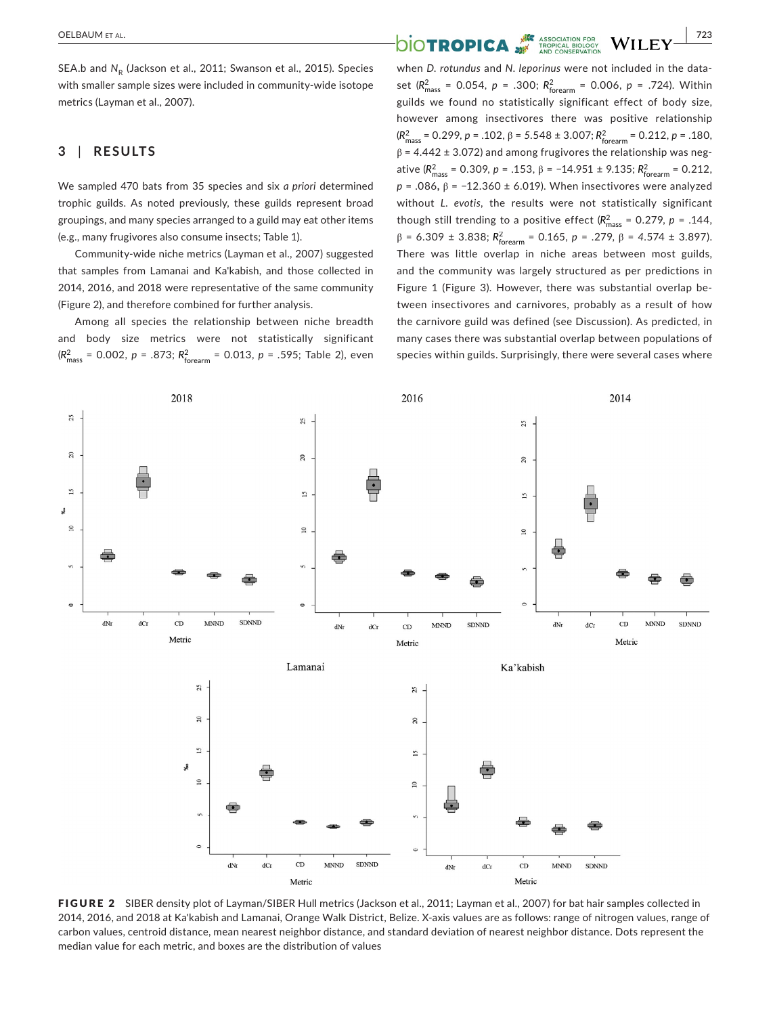SEA.b and N<sub>p</sub> (Jackson et al., 2011; Swanson et al., 2015). Species with smaller sample sizes were included in community-wide isotope metrics (Layman et al., 2007).

# **3** | **RESULTS**

We sampled 470 bats from 35 species and six *a priori* determined trophic guilds. As noted previously, these guilds represent broad groupings, and many species arranged to a guild may eat other items (e.g., many frugivores also consume insects; Table 1).

Community‐wide niche metrics (Layman et al., 2007) suggested that samples from Lamanai and Ka'kabish, and those collected in 2014, 2016, and 2018 were representative of the same community (Figure 2), and therefore combined for further analysis.

Among all species the relationship between niche breadth and body size metrics were not statistically significant (*R*<sup>2</sup> mass <sup>=</sup> 0.002, *<sup>p</sup>* <sup>=</sup> .873; *R*<sup>2</sup> forearm = 0.013, *p* = .595; Table 2), even

# **OELBAUM ET AL. <u>PELAL AND TROPICA</u> SECUTION FOR WILEY 723**

when *D. rotundus* and *N. leporinus* were not included in the data‐ set ( $R_{\text{mass}}^2$  = 0.054,  $p = .300$ ;  $R_{\text{forearm}}^2$  = 0.006,  $p = .724$ ). Within guilds we found no statistically significant effect of body size, however among insectivores there was positive relationship (*R*<sup>2</sup> mass <sup>=</sup> 0.299, *<sup>p</sup>* <sup>=</sup> .102, <sup>β</sup> <sup>=</sup> *<sup>5</sup>*.548 <sup>±</sup> 3.007; *R*<sup>2</sup> forearm = 0.212, *p* = .180, β = *4*.442 ± 3.072) and among frugivores the relationship was neg‐ ative ( $R_{\text{mass}}^2$  = 0.309, *p* = .153, *β* = −14.951 ± 9.135;  $R_{\text{forearm}}^2$  = 0.212, *p* = .086**,** β = *−*12.360 ± 6.019). When insectivores were analyzed without *L. evotis,* the results were not statistically significant though still trending to a positive effect  $(R_{\text{mass}}^2 = 0.279, p = .144,$  $β = 6.309 ± 3.838; R<sup>2</sup><sub>foream</sub> = 0.165, p = .279, β = 4.574 ± 3.897$ ). There was little overlap in niche areas between most guilds, and the community was largely structured as per predictions in Figure 1 (Figure 3). However, there was substantial overlap be‐ tween insectivores and carnivores, probably as a result of how the carnivore guild was defined (see Discussion). As predicted, in many cases there was substantial overlap between populations of species within guilds. Surprisingly, there were several cases where



FIGURE 2 SIBER density plot of Layman/SIBER Hull metrics (Jackson et al., 2011; Layman et al., 2007) for bat hair samples collected in 2014, 2016, and 2018 at Ka'kabish and Lamanai, Orange Walk District, Belize. X‐axis values are as follows: range of nitrogen values, range of carbon values, centroid distance, mean nearest neighbor distance, and standard deviation of nearest neighbor distance. Dots represent the median value for each metric, and boxes are the distribution of values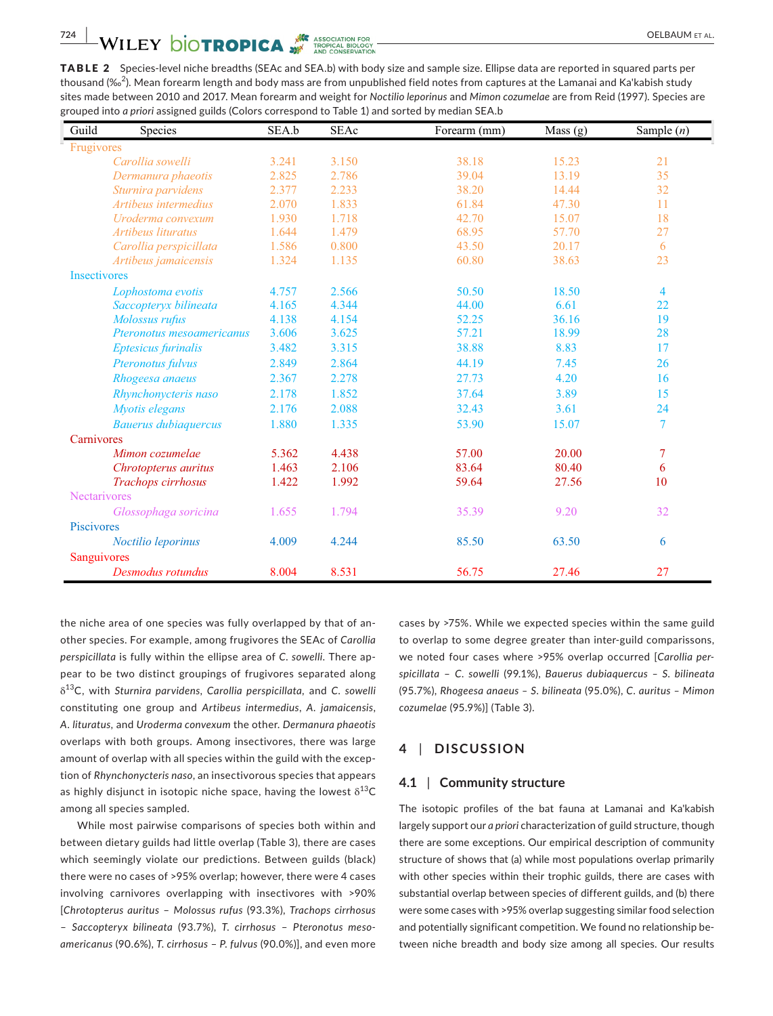TABLE 2 Species-level niche breadths (SEAc and SEA.b) with body size and sample size. Ellipse data are reported in squared parts per thousand (‰ $^2$ ). Mean forearm length and body mass are from unpublished field notes from captures at the Lamanai and Ka'kabish study sites made between 2010 and 2017. Mean forearm and weight for *Noctilio leporinus* and *Mimon cozumelae* are from Reid (1997). Species are grouped into *a priori* assigned guilds (Colors correspond to Table 1) and sorted by median SEA.b

| Guild<br>Species            | SEA.b | <b>SEAc</b> | Forearm (mm) | Mass $(g)$ | Sample $(n)$   |
|-----------------------------|-------|-------------|--------------|------------|----------------|
| Frugivores                  |       |             |              |            |                |
| Carollia sowelli            | 3.241 | 3.150       | 38.18        | 15.23      | 21             |
| Dermanura phaeotis          | 2.825 | 2.786       | 39.04        | 13.19      | 35             |
| Sturnira parvidens          | 2.377 | 2.233       | 38.20        | 14.44      | 32             |
| Artibeus intermedius        | 2.070 | 1.833       | 61.84        | 47.30      | 11             |
| Uroderma convexum           | 1.930 | 1.718       | 42.70        | 15.07      | 18             |
| Artibeus lituratus          | 1.644 | 1.479       | 68.95        | 57.70      | 27             |
| Carollia perspicillata      | 1.586 | 0.800       | 43.50        | 20.17      | 6              |
| Artibeus jamaicensis        | 1.324 | 1.135       | 60.80        | 38.63      | 23             |
| <b>Insectivores</b>         |       |             |              |            |                |
| Lophostoma evotis           | 4.757 | 2.566       | 50.50        | 18.50      | 4              |
| Saccopteryx bilineata       | 4.165 | 4.344       | 44.00        | 6.61       | 22             |
| Molossus rufus              | 4.138 | 4.154       | 52.25        | 36.16      | 19             |
| Pteronotus mesoamericanus   | 3.606 | 3.625       | 57.21        | 18.99      | 28             |
| <b>Eptesicus furinalis</b>  | 3.482 | 3.315       | 38.88        | 8.83       | 17             |
| Pteronotus fulvus           | 2.849 | 2.864       | 44.19        | 7.45       | 26             |
| Rhogeesa anaeus             | 2.367 | 2.278       | 27.73        | 4.20       | 16             |
| Rhynchonycteris naso        | 2.178 | 1.852       | 37.64        | 3.89       | 15             |
| Myotis elegans              | 2.176 | 2.088       | 32.43        | 3.61       | 24             |
| <b>Bauerus dubiaquercus</b> | 1.880 | 1.335       | 53.90        | 15.07      | $\overline{7}$ |
| Carnivores                  |       |             |              |            |                |
| Mimon cozumelae             | 5.362 | 4.438       | 57.00        | 20.00      | 7              |
| Chrotopterus auritus        | 1.463 | 2.106       | 83.64        | 80.40      | 6              |
| Trachops cirrhosus          | 1.422 | 1.992       | 59.64        | 27.56      | 10             |
| <b>Nectarivores</b>         |       |             |              |            |                |
| Glossophaga soricina        | 1.655 | 1.794       | 35.39        | 9.20       | 32             |
| Piscivores                  |       |             |              |            |                |
| Noctilio leporinus          | 4.009 | 4.244       | 85.50        | 63.50      | 6              |
| Sanguivores                 |       |             |              |            |                |
| Desmodus rotundus           | 8.004 | 8.531       | 56.75        | 27.46      | 27             |

the niche area of one species was fully overlapped by that of an‐ other species. For example, among frugivores the SEAc of *Carollia perspicillata* is fully within the ellipse area of *C. sowelli*. There ap‐ pear to be two distinct groupings of frugivores separated along δ13C, with *Sturnira parvidens, Carollia perspicillata,* and *C. sowelli* constituting one group and *Artibeus intermedius*, *A. jamaicensis*, *A. lituratus,* and *Uroderma convexum* the other. *Dermanura phaeotis* overlaps with both groups. Among insectivores, there was large amount of overlap with all species within the guild with the exception of *Rhynchonycteris naso*, an insectivorous species that appears as highly disjunct in isotopic niche space, having the lowest  $\delta^{13}C$ among all species sampled.

While most pairwise comparisons of species both within and between dietary guilds had little overlap (Table 3), there are cases which seemingly violate our predictions. Between guilds (black) there were no cases of >95% overlap; however, there were 4 cases involving carnivores overlapping with insectivores with >90% [*Chrotopterus auritus* – *Molossus rufus* (93.3%), *Trachops cirrhosus* – *Saccopteryx bilineata* (93.7%), *T. cirrhosus* – *Pteronotus meso‐ americanus* (90.6%), *T. cirrhosus* – *P. fulvus* (90.0%)], and even more cases by >75%. While we expected species within the same guild to overlap to some degree greater than inter‐guild comparissons, we noted four cases where >95% overlap occurred [*Carollia per‐ spicillata* – *C. sowelli* (99.1%), *Bauerus dubiaquercus – S. bilineata* (95.7%), *Rhogeesa anaeus – S. bilineata* (95.0%), *C. auritus – Mimon cozumelae* (95.9%)] (Table 3).

# **4** | **DISCUSSION**

#### **4.1** | **Community structure**

The isotopic profiles of the bat fauna at Lamanai and Ka'kabish largely support our *a priori* characterization of guild structure, though there are some exceptions. Our empirical description of community structure of shows that (a) while most populations overlap primarily with other species within their trophic guilds, there are cases with substantial overlap between species of different guilds, and (b) there were some cases with >95% overlap suggesting similar food selection and potentially significant competition. We found no relationship be‐ tween niche breadth and body size among all species. Our results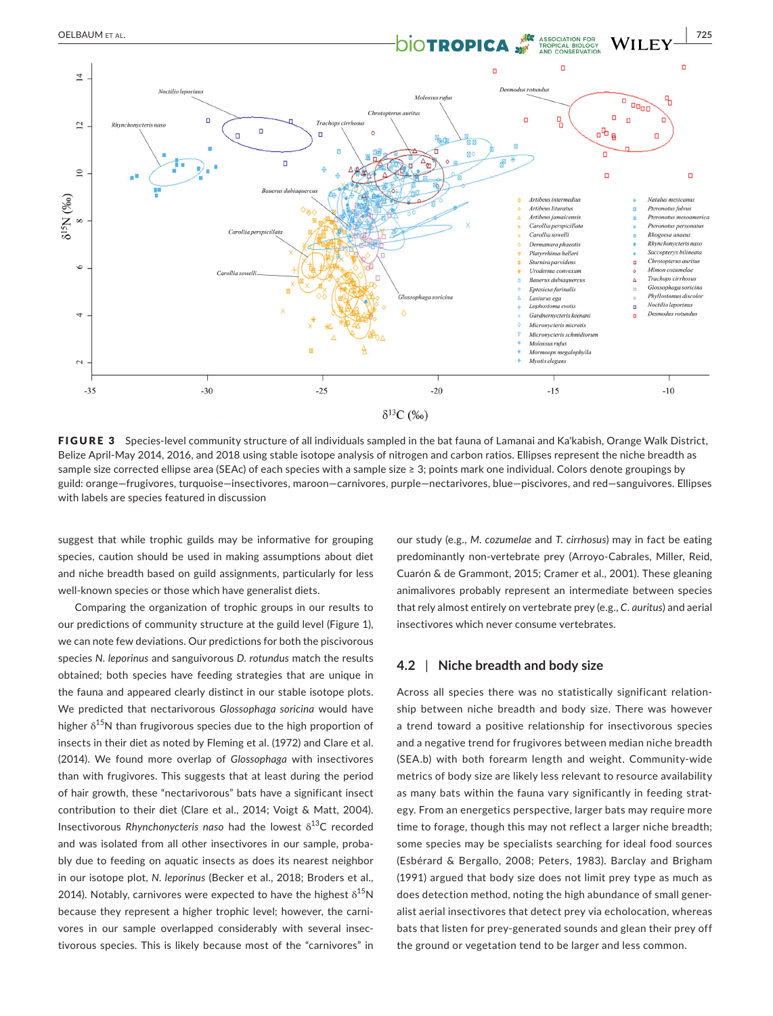

FIGURE 3 Species-level community structure of all individuals sampled in the bat fauna of Lamanai and Ka'kabish, Orange Walk District, Belize April‐May 2014, 2016, and 2018 using stable isotope analysis of nitrogen and carbon ratios. Ellipses represent the niche breadth as sample size corrected ellipse area (SEAc) of each species with a sample size ≥ 3; points mark one individual. Colors denote groupings by guild: orange—frugivores, turquoise—insectivores, maroon—carnivores, purple—nectarivores, blue—piscivores, and red—sanguivores. Ellipses with labels are species featured in discussion

suggest that while trophic guilds may be informative for grouping species, caution should be used in making assumptions about diet and niche breadth based on guild assignments, particularly for less well-known species or those which have generalist diets.

Comparing the organization of trophic groups in our results to our predictions of community structure at the guild level (Figure 1), we can note few deviations. Our predictions for both the piscivorous species *N. leporinus* and sanguivorous *D. rotundus* match the results obtained; both species have feeding strategies that are unique in the fauna and appeared clearly distinct in our stable isotope plots. We predicted that nectarivorous *Glossophaga soricina* would have higher  $\delta^{15}$ N than frugivorous species due to the high proportion of insects in their diet as noted by Fleming et al. (1972) and Clare et al. (2014). We found more overlap of *Glossophaga* with insectivores than with frugivores. This suggests that at least during the period of hair growth, these "nectarivorous" bats have a significant insect contribution to their diet (Clare et al., 2014; Voigt & Matt, 2004). Insectivorous *Rhynchonycteris naso* had the lowest  $\delta^{13}C$  recorded and was isolated from all other insectivores in our sample, proba‐ bly due to feeding on aquatic insects as does its nearest neighbor in our isotope plot, *N. leporinus* (Becker et al., 2018; Broders et al., 2014). Notably, carnivores were expected to have the highest  $\delta^{15}N$ because they represent a higher trophic level; however, the carni‐ vores in our sample overlapped considerably with several insec‐ tivorous species. This is likely because most of the "carnivores" in our study (e.g., *M. cozumelae* and *T. cirrhosus*) may in fact be eating predominantly non-vertebrate prey (Arroyo-Cabrales, Miller, Reid, Cuarón & de Grammont, 2015; Cramer et al., 2001). These gleaning animalivores probably represent an intermediate between species that rely almost entirely on vertebrate prey (e.g., *C. auritus*) and aerial insectivores which never consume vertebrates.

### **4.2** | **Niche breadth and body size**

Across all species there was no statistically significant relation‐ ship between niche breadth and body size. There was however a trend toward a positive relationship for insectivorous species and a negative trend for frugivores between median niche breadth (SEA.b) with both forearm length and weight. Community‐wide metrics of body size are likely less relevant to resource availability as many bats within the fauna vary significantly in feeding strategy. From an energetics perspective, larger bats may require more time to forage, though this may not reflect a larger niche breadth; some species may be specialists searching for ideal food sources (Esbérard & Bergallo, 2008; Peters, 1983). Barclay and Brigham (1991) argued that body size does not limit prey type as much as does detection method, noting the high abundance of small gener‐ alist aerial insectivores that detect prey via echolocation, whereas bats that listen for prey‐generated sounds and glean their prey off the ground or vegetation tend to be larger and less common.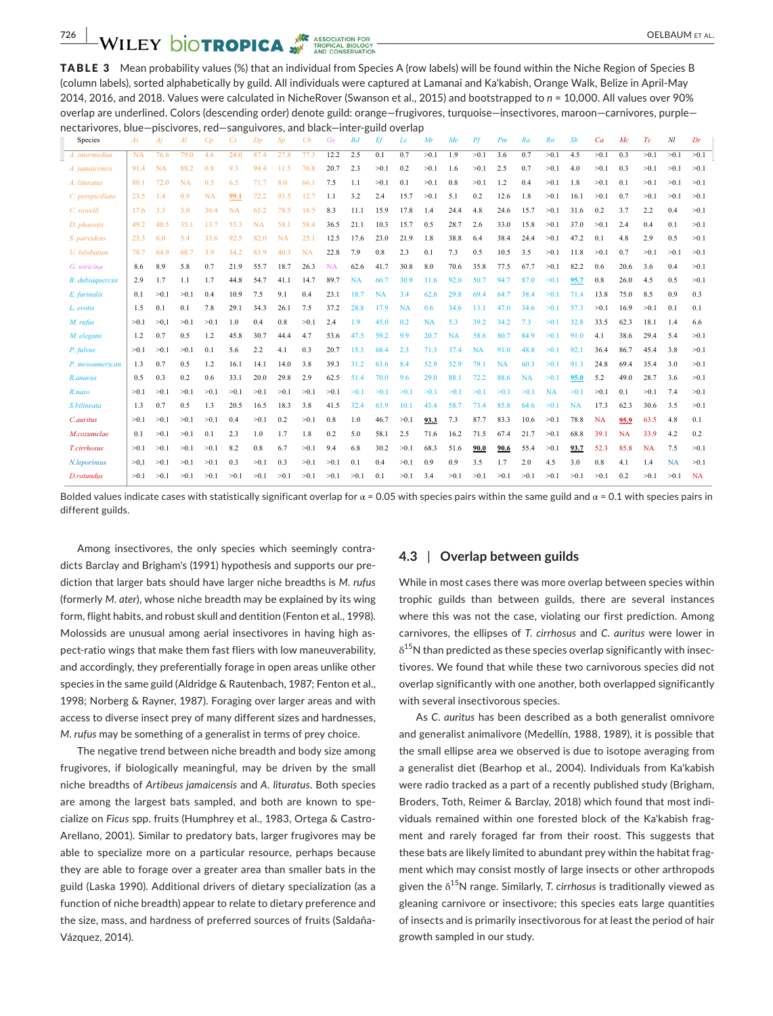TABLE 3 Mean probability values (%) that an individual from Species A (row labels) will be found within the Niche Region of Species B (column labels), sorted alphabetically by guild. All individuals were captured at Lamanai and Ka'kabish, Orange Walk, Belize in April‐May 2014, 2016, and 2018. Values were calculated in NicheRover (Swanson et al., 2015) and bootstrapped to *n* = 10,000. All values over 90% overlap are underlined. Colors (descending order) denote guild: orange—frugivores, turquoise—insectivores, maroon—carnivores, purple nectarivores, blue—piscivores, red—sanguivores, and black—inter‐guild overlap

| <b>Species</b>         | Ai        | Ai        | Al        | Cp   | $C_{S}$ | Dp        | Sp        | Ub        | Gs        | B <sub>d</sub> | Ef        | Le        | Mr        | Me        | Pf        | Pm        | Ra        | Rn        | Sb        | Ca        | Mc   | Tc        | Nl        | Dr        |
|------------------------|-----------|-----------|-----------|------|---------|-----------|-----------|-----------|-----------|----------------|-----------|-----------|-----------|-----------|-----------|-----------|-----------|-----------|-----------|-----------|------|-----------|-----------|-----------|
| A. intermedius         | <b>NA</b> | 76.6      | 79.0      | 4.6  | 24.0    | 87.4      | 27.8      | 77.3      | 12.2      | 2.5            | 0.1       | 0.7       | >0.1      | 1.9       | >0.1      | 3.6       | 0.7       | >0.1      | 4.5       | >0.1      | 0.3  | >0.1      | >0.1      | >0.1      |
| A. <i>jamaicensis</i>  | 91.4      | <b>NA</b> | 88.2      | 0.8  | 9.3     | 94.4      | 11.5      | 76.8      | 20.7      | 2.3            | >0.1      | 0.2       | >0.1      | 1.6       | >0.1      | 2.5       | 0.7       | >0.1      | 4.0       | >0.1      | 0.3  | >0.1      | >0.1      | >0.1      |
| A. lituratus           | 80.1      | 72.0      | <b>NA</b> | 0.5  | 6.5     | 71.7      | 8.0       | 66.1      | 7.5       | 1.1            | >0.1      | 0.1       | >0.1      | 0.8       | >0.1      | 1.2       | 0.4       | >0.1      | 1.8       | >0.1      | 0.1  | >0.1      | >0.1      | >0.1      |
| C. perspicillata       | 23.5      | 1.4       | 0.9       | NA   | 99.1    | 72.2      | 93.5      | 12.7      | 1.1       | 3.2            | 2.4       | 15.7      | >0.1      | 5.1       | 0.2       | 12.6      | 1.8       | >0.1      | 16.1      | >0.1      | 0.7  | >0.1      | >0.1      | >0.1      |
| C. sowelli             | 17.6      | 3.3       | 3.0       | 36.4 | NA      | 61.2      | 78.5      | 16.5      | 8.3       | 11.1           | 15.9      | 17.8      | 1.4       | 24.4      | 4.8       | 24.6      | 15.7      | >0.1      | 31.6      | 0.2       | 3.7  | 2.2       | 0.4       | >0.1      |
| D. phaeotis            | 49.2      | 40.5      | 35.1      | 13.7 | 55.3    | <b>NA</b> | 58.1      | 58.4      | 36.5      | 21.1           | 10.3      | 15.7      | 0.5       | 28.7      | 2.6       | 33.0      | 15.8      | >0.1      | 37.0      | >0.1      | 2.4  | 0.4       | 0.1       | >0.1      |
| S. parvidens           | 23.3      | 6.0       | 5.4       | 33.6 | 92.5    | 82.0      | <b>NA</b> | 25.1      | 12.5      | 17.6           | 23.0      | 21.9      | 1.8       | 38.8      | 6.4       | 38.4      | 24.4      | >0.1      | 47.2      | 0.1       | 4.8  | 2.9       | 0.5       | >0.1      |
| U. bilobatum           | 78.7      | 64.9      | 68.7      | 3.9  | 34.2    | 83.9      | 40.3      | <b>NA</b> | 22.8      | 7.9            | 0.8       | 2.3       | 0.1       | 7.3       | 0.5       | 10.5      | 3.5       | >0.1      | 11.8      | >0.1      | 0.7  | >0.1      | >0.1      | >0.1      |
| G. soricina            | 8.6       | 8.9       | 5.8       | 0.7  | 21.9    | 55.7      | 18.7      | 26.3      | <b>NA</b> | 62.6           | 41.7      | 30.8      | 8.0       | 70.6      | 35.8      | 77.5      | 67.7      | >0.1      | 82.2      | 0.6       | 20.6 | 3.6       | 0.4       | >0.1      |
| <b>B.</b> dubiaquercus | 2.9       | 1.7       | 1.1       | 1.7  | 44.8    | 54.7      | 41.1      | 14.7      | 89.7      | <b>NA</b>      | 66.7      | 30.9      | 11.6      | 92.0      | 50.7      | 94.7      | 87.0      | >0.1      | 95.7      | 0.8       | 26.0 | 4.5       | 0.5       | >0.1      |
| E. furinalis           | 0.1       | >0.1      | >0.1      | 0.4  | 10.9    | 7.5       | 9.1       | 0.4       | 23.1      | 18.7           | <b>NA</b> | 3.4       | 62.6      | 29.8      | 69.4      | 64.7      | 38.4      | >0.1      | 71.4      | 13.8      | 75.0 | 8.5       | 0.9       | 0.3       |
| L. evotis              | 1.5       | 0.1       | 0.1       | 7.8  | 29.1    | 34.3      | 26.1      | 7.5       | 37.2      | 28.8           | 17.9      | <b>NA</b> | 0.6       | 34.6      | 13.1      | 47.0      | 34.6      | >0.1      | 57.3      | >0.1      | 16.9 | >0.1      | 0.1       | 0.1       |
| M. rufus               | >0.1      | >0.1      | >0.1      | >0.1 | 1.0     | 0.4       | 0.8       | >0.1      | 2.4       | 1.9            | 45.0      | 0.2       | <b>NA</b> | 5.3       | 39.2      | 34.2      | 7.3       | >0.1      | 32.8      | 33.5      | 62.3 | 18.1      | 1.4       | 6.6       |
| M. elegans             | 1.2       | 0.7       | 0.5       | 1.2  | 45.8    | 30.7      | 44.4      | 4.7       | 53.6      | 47.5           | 59.2      | 9.9       | 20.7      | <b>NA</b> | 58.6      | 80.7      | 84.9      | >0.1      | 91.0      | 4.1       | 38.6 | 29.4      | 5.4       | >0.1      |
| P. fulvus              | >0.1      | >0.1      | >0.1      | 0.1  | 5.6     | 2.2       | 4.1       | 0.3       | 20.7      | 15.3           | 68.4      | 2.3       | 71.3      | 37.4      | <b>NA</b> | 91.0      | 48.8      | >0.1      | 92.1      | 36.4      | 86.7 | 45.4      | 3.8       | >0.1      |
| P. mesoamerican        | 1.3       | 0.7       | 0.5       | 1.2  | 16.1    | 14.1      | 14.0      | 3.8       | 39.3      | 31.2           | 63.6      | 8.4       | 52.9      | 52.9      | 79.1      | <b>NA</b> | 60.3      | >0.1      | 91.3      | 24.8      | 69.4 | 35.4      | 3.0       | >0.1      |
| R.anaeus               | 0.5       | 0.3       | 0.2       | 0.6  | 33.1    | 20.0      | 29.8      | 2.9       | 62.5      | 51.4           | 70.0      | 9.6       | 29.0      | 88.1      | 72.2      | 88.6      | <b>NA</b> | >0.1      | 95.0      | 5.2       | 49.0 | 28.7      | 3.6       | >0.1      |
| R.naso                 | >0.1      | >0.1      | >0.1      | >0.1 | >0.1    | >0.1      | >0.1      | >0.1      | >0.1      | >0.1           | >0.1      | >0.1      | >0.1      | >0.1      | >0.1      | >0.1      | >0.1      | <b>NA</b> | >0.1      | >0.1      | 0.1  | >0.1      | 7.4       | >0.1      |
| S.bilineata            | 1.3       | 0.7       | 0.5       | 1.3  | 20.5    | 16.5      | 18.3      | 3.8       | 41.5      | 32.4           | 63.9      | 10.1      | 43.4      | 58.7      | 73.4      | 85.8      | 64.6      | >0.1      | <b>NA</b> | 17.3      | 62.3 | 30.6      | 3.5       | >0.1      |
| C.auritus              | >0.1      | >0.1      | >0.1      | >0.1 | 0.4     | >0.1      | 0.2       | >0.1      | 0.8       | 1.0            | 46.7      | >0.1      | 93.3      | 7.3       | 87.7      | 83.3      | 10.6      | >0.1      | 78.8      | <b>NA</b> | 95.9 | 63.5      | 4.8       | 0.1       |
| M.cozumelae            | 0.1       | >0.1      | >0.1      | 0.1  | 2.3     | 1.0       | 1.7       | 1.8       | 0.2       | 5.0            | 58.1      | 2.5       | 71.6      | 16.2      | 71.5      | 67.4      | 21.7      | >0.1      | 68.8      | 39.1      | NA   | 33.9      | 4.2       | 0.2       |
| <b>T.cirrhosus</b>     | >0.1      | >0.1      | >0.1      | >0.1 | 8.2     | 0.8       | 6.7       | >0.1      | 9.4       | 6.8            | 30.2      | >0.1      | 68.3      | 51.6      | 90.0      | 90.6      | 55.4      | >0.1      | 93.7      | 52.3      | 85.8 | <b>NA</b> | 7.5       | >0.1      |
| N.leporinius           | >0.1      | >0.1      | >0.1      | >0.1 | 0.3     | >0.1      | 0.3       | >0.1      | >0.1      | 0.1            | 0.4       | >0.1      | 0.9       | 0.9       | 3.5       | 1.7       | 2.0       | 4.5       | 3.0       | 0.8       | 4.1  | 1.4       | <b>NA</b> | >0.1      |
| D.rotundus             | >0.1      | >0.1      | >0.1      | >0.1 | >0.1    | >0.1      | >0.1      | >0.1      | >0.1      | >0.1           | 0.1       | >0.1      | 3.4       | >0.1      | >0.1      | >0.1      | >0.1      | >0.1      | >0.1      | >0.1      | 0.2  | >0.1      | >0.1      | <b>NA</b> |

Bolded values indicate cases with statistically significant overlap for  $\alpha = 0.05$  with species pairs within the same guild and  $\alpha = 0.1$  with species pairs in different guilds.

Among insectivores, the only species which seemingly contra‐ dicts Barclay and Brigham's (1991) hypothesis and supports our pre‐ diction that larger bats should have larger niche breadths is *M*. *rufus* (formerly *M. ater*), whose niche breadth may be explained by its wing form, flight habits, and robust skull and dentition (Fenton et al., 1998). Molossids are unusual among aerial insectivores in having high aspect-ratio wings that make them fast fliers with low maneuverability, and accordingly, they preferentially forage in open areas unlike other species in the same guild (Aldridge & Rautenbach, 1987; Fenton et al., 1998; Norberg & Rayner, 1987). Foraging over larger areas and with access to diverse insect prey of many different sizes and hardnesses, *M. rufus* may be something of a generalist in terms of prey choice.

The negative trend between niche breadth and body size among frugivores, if biologically meaningful, may be driven by the small niche breadths of *Artibeus jamaicensis* and *A. lituratus*. Both species are among the largest bats sampled, and both are known to spe‐ cialize on *Ficus* spp. fruits (Humphrey et al., 1983, Ortega & Castro‐ Arellano, 2001). Similar to predatory bats, larger frugivores may be able to specialize more on a particular resource, perhaps because they are able to forage over a greater area than smaller bats in the guild (Laska 1990). Additional drivers of dietary specialization (as a function of niche breadth) appear to relate to dietary preference and the size, mass, and hardness of preferred sources of fruits (Saldaña‐ Vázquez, 2014).

#### **4.3** | **Overlap between guilds**

While in most cases there was more overlap between species within trophic guilds than between guilds, there are several instances where this was not the case, violating our first prediction. Among carnivores, the ellipses of *T. cirrhosus* and *C. auritus* were lower in  $\delta^{15}$ N than predicted as these species overlap significantly with insectivores. We found that while these two carnivorous species did not overlap significantly with one another, both overlapped significantly with several insectivorous species.

As *C. auritus* has been described as a both generalist omnivore and generalist animalivore (Medellín, 1988, 1989), it is possible that the small ellipse area we observed is due to isotope averaging from a generalist diet (Bearhop et al., 2004). Individuals from Ka'kabish were radio tracked as a part of a recently published study (Brigham, Broders, Toth, Reimer & Barclay, 2018) which found that most indi‐ viduals remained within one forested block of the Ka'kabish frag‐ ment and rarely foraged far from their roost. This suggests that these bats are likely limited to abundant prey within the habitat frag‐ ment which may consist mostly of large insects or other arthropods given the δ15N range. Similarly, *T. cirrhosus* is traditionally viewed as gleaning carnivore or insectivore; this species eats large quantities of insects and is primarily insectivorous for at least the period of hair growth sampled in our study.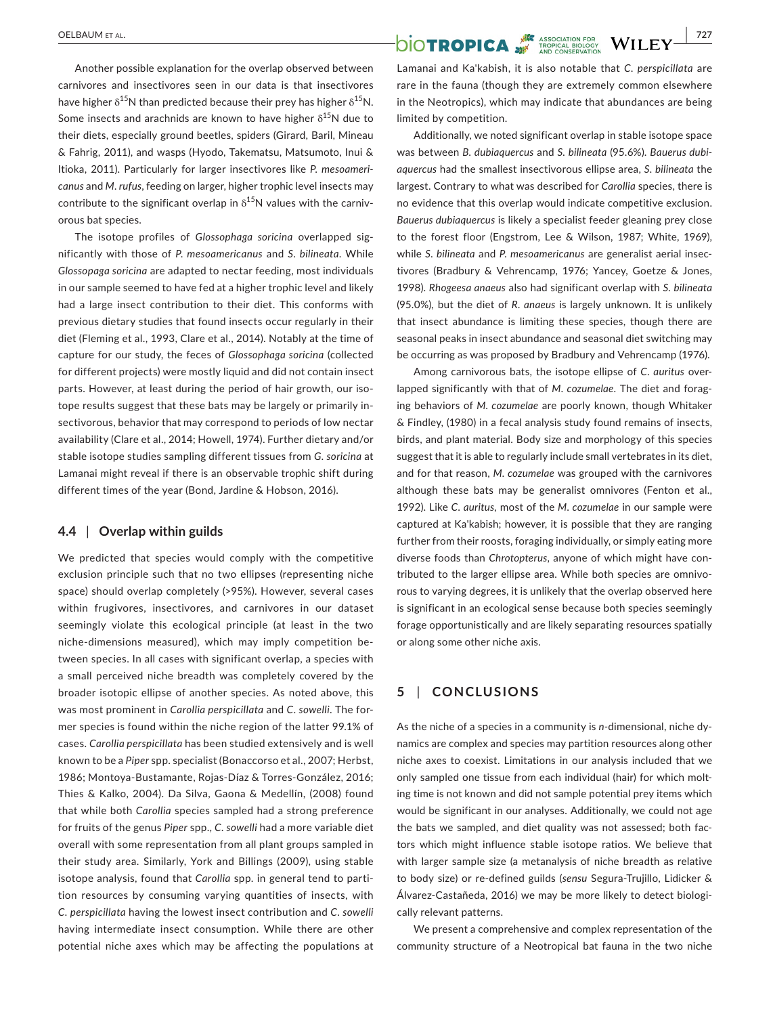Another possible explanation for the overlap observed between carnivores and insectivores seen in our data is that insectivores have higher  $\delta^{15}N$  than predicted because their prey has higher  $\delta^{15}N$ . Some insects and arachnids are known to have higher  $\delta^{15}N$  due to their diets, especially ground beetles, spiders (Girard, Baril, Mineau & Fahrig, 2011), and wasps (Hyodo, Takematsu, Matsumoto, Inui & Itioka, 2011). Particularly for larger insectivores like *P. mesoameri‐ canus* and *M. rufus*, feeding on larger, higher trophic level insects may contribute to the significant overlap in  $\delta^{15}N$  values with the carnivorous bat species.

The isotope profiles of *Glossophaga soricina* overlapped sig‐ nificantly with those of *P. mesoamericanus* and *S. bilineata*. While *Glossopaga soricina* are adapted to nectar feeding, most individuals in our sample seemed to have fed at a higher trophic level and likely had a large insect contribution to their diet. This conforms with previous dietary studies that found insects occur regularly in their diet (Fleming et al., 1993, Clare et al., 2014). Notably at the time of capture for our study, the feces of *Glossophaga soricina* (collected for different projects) were mostly liquid and did not contain insect parts. However, at least during the period of hair growth, our isotope results suggest that these bats may be largely or primarily in‐ sectivorous, behavior that may correspond to periods of low nectar availability (Clare et al., 2014; Howell, 1974). Further dietary and/or stable isotope studies sampling different tissues from *G. soricina* at Lamanai might reveal if there is an observable trophic shift during different times of the year (Bond, Jardine & Hobson, 2016).

## **4.4** | **Overlap within guilds**

We predicted that species would comply with the competitive exclusion principle such that no two ellipses (representing niche space) should overlap completely (>95%). However, several cases within frugivores, insectivores, and carnivores in our dataset seemingly violate this ecological principle (at least in the two niche-dimensions measured), which may imply competition between species. In all cases with significant overlap, a species with a small perceived niche breadth was completely covered by the broader isotopic ellipse of another species. As noted above, this was most prominent in *Carollia perspicillata* and *C. sowelli*. The for‐ mer species is found within the niche region of the latter 99.1% of cases. *Carollia perspicillata* has been studied extensively and is well known to be a *Piper* spp. specialist (Bonaccorso et al., 2007; Herbst, 1986; Montoya‐Bustamante, Rojas‐Díaz & Torres‐González, 2016; Thies & Kalko, 2004). Da Silva, Gaona & Medellín, (2008) found that while both *Carollia* species sampled had a strong preference for fruits of the genus *Piper* spp.*, C. sowelli* had a more variable diet overall with some representation from all plant groups sampled in their study area. Similarly, York and Billings (2009), using stable isotope analysis, found that *Carollia* spp. in general tend to partition resources by consuming varying quantities of insects, with *C. perspicillata* having the lowest insect contribution and *C. sowelli* having intermediate insect consumption. While there are other potential niche axes which may be affecting the populations at

# **OELBAUM ET AL. TROPICA** WILEY **WILEY**

Lamanai and Ka'kabish, it is also notable that *C. perspicillata* are rare in the fauna (though they are extremely common elsewhere in the Neotropics), which may indicate that abundances are being limited by competition.

Additionally, we noted significant overlap in stable isotope space was between *B. dubiaquercus* and *S. bilineata* (95.6%). *Bauerus dubi‐ aquercus* had the smallest insectivorous ellipse area, *S. bilineata* the largest. Contrary to what was described for *Carollia* species, there is no evidence that this overlap would indicate competitive exclusion. *Bauerus dubiaquercus* is likely a specialist feeder gleaning prey close to the forest floor (Engstrom, Lee & Wilson, 1987; White, 1969), while *S. bilineata* and *P. mesoamericanus* are generalist aerial insec‐ tivores (Bradbury & Vehrencamp, 1976; Yancey, Goetze & Jones, 1998). *Rhogeesa anaeus* also had significant overlap with *S. bilineata* (95.0%)*,* but the diet of *R. anaeus* is largely unknown. It is unlikely that insect abundance is limiting these species, though there are seasonal peaks in insect abundance and seasonal diet switching may be occurring as was proposed by Bradbury and Vehrencamp (1976).

Among carnivorous bats, the isotope ellipse of *C. auritus* over‐ lapped significantly with that of *M. cozumelae*. The diet and forag‐ ing behaviors of *M. cozumelae* are poorly known, though Whitaker & Findley, (1980) in a fecal analysis study found remains of insects, birds, and plant material. Body size and morphology of this species suggest that it is able to regularly include small vertebrates in its diet, and for that reason, *M. cozumelae* was grouped with the carnivores although these bats may be generalist omnivores (Fenton et al., 1992). Like *C. auritus,* most of the *M. cozumelae* in our sample were captured at Ka'kabish; however, it is possible that they are ranging further from their roosts, foraging individually, or simply eating more diverse foods than *Chrotopterus*, anyone of which might have con‐ tributed to the larger ellipse area. While both species are omnivo‐ rous to varying degrees, it is unlikely that the overlap observed here is significant in an ecological sense because both species seemingly forage opportunistically and are likely separating resources spatially or along some other niche axis.

# **5** | **CONCLUSIONS**

As the niche of a species in a community is *n‐*dimensional, niche dy‐ namics are complex and species may partition resources along other niche axes to coexist. Limitations in our analysis included that we only sampled one tissue from each individual (hair) for which molt‐ ing time is not known and did not sample potential prey items which would be significant in our analyses. Additionally, we could not age the bats we sampled, and diet quality was not assessed; both fac‐ tors which might influence stable isotope ratios. We believe that with larger sample size (a metanalysis of niche breadth as relative to body size) or re‐defined guilds (*sensu* Segura‐Trujillo, Lidicker & Álvarez‐Castañeda, 2016) we may be more likely to detect biologi‐ cally relevant patterns.

We present a comprehensive and complex representation of the community structure of a Neotropical bat fauna in the two niche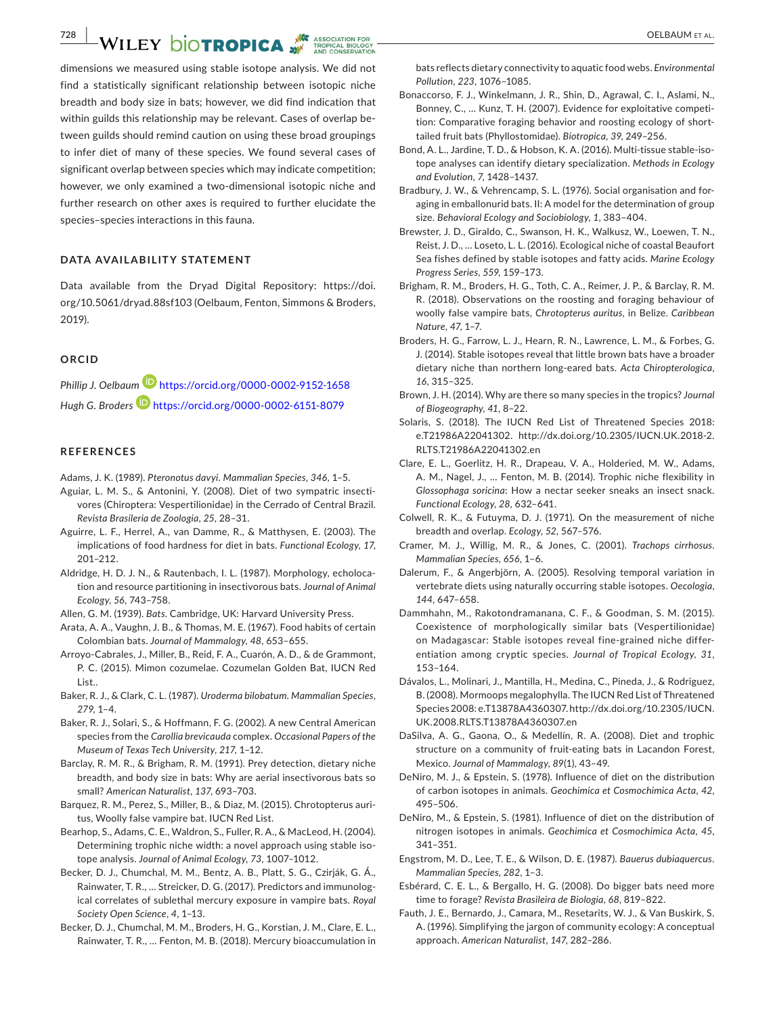**728 WILEY DIOTROPICA** 

dimensions we measured using stable isotope analysis. We did not find a statistically significant relationship between isotopic niche breadth and body size in bats; however, we did find indication that within guilds this relationship may be relevant. Cases of overlap between guilds should remind caution on using these broad groupings to infer diet of many of these species. We found several cases of significant overlap between species which may indicate competition; however, we only examined a two-dimensional isotopic niche and further research on other axes is required to further elucidate the species–species interactions in this fauna.

## **DATA AVAILABILITY STATEMENT**

Data available from the Dryad Digital Repository: [https://doi.](https://doi.org/10.5061/dryad.88sf103) [org/10.5061/dryad.88sf103](https://doi.org/10.5061/dryad.88sf103) (Oelbaum, Fenton, Simmons & Broders, 2019).

### **ORCID**

*Phillip J. Oelbaum* <https://orcid.org/0000-0002-9152-1658> Hugh G. Broders<sup>1</sup> <https://orcid.org/0000-0002-6151-8079>

### **REFERENCES**

- Adams, J. K. (1989). *Pteronotus davyi*. *Mammalian Species*, *346*, 1–5.
- Aguiar, L. M. S., & Antonini, Y. (2008). Diet of two sympatric insecti‐ vores (Chiroptera: Vespertilionidae) in the Cerrado of Central Brazil. *Revista Brasileria de Zoologia*, *25*, 28–31.
- Aguirre, L. F., Herrel, A., van Damme, R., & Matthysen, E. (2003). The implications of food hardness for diet in bats. *Functional Ecology*, *17*, 201–212.
- Aldridge, H. D. J. N., & Rautenbach, I. L. (1987). Morphology, echoloca‐ tion and resource partitioning in insectivorous bats. *Journal of Animal Ecology*, *56*, 743–758.
- Allen, G. M. (1939). *Bats*. Cambridge, UK: Harvard University Press.
- Arata, A. A., Vaughn, J. B., & Thomas, M. E. (1967). Food habits of certain Colombian bats. *Journal of Mammalogy*, *48*, 653–655.
- Arroyo‐Cabrales, J., Miller, B., Reid, F. A., Cuarón, A. D., & de Grammont, P. C. (2015). Mimon cozumelae. Cozumelan Golden Bat, IUCN Red List..
- Baker, R. J., & Clark, C. L. (1987). *Uroderma bilobatum*. *Mammalian Species*, *279*, 1–4.
- Baker, R. J., Solari, S., & Hoffmann, F. G. (2002). A new Central American species from the *Carollia brevicauda* complex. *Occasional Papers of the Museum of Texas Tech University*, *217*, 1–12.
- Barclay, R. M. R., & Brigham, R. M. (1991). Prey detection, dietary niche breadth, and body size in bats: Why are aerial insectivorous bats so small? *American Naturalist*, *137*, 693–703.
- Barquez, R. M., Perez, S., Miller, B., & Diaz, M. (2015). Chrotopterus auri‐ tus, Woolly false vampire bat. IUCN Red List.
- Bearhop, S., Adams, C. E., Waldron, S., Fuller, R. A., & MacLeod, H. (2004). Determining trophic niche width: a novel approach using stable isotope analysis. *Journal of Animal Ecology*, *73*, 1007–1012.
- Becker, D. J., Chumchal, M. M., Bentz, A. B., Platt, S. G., Czirják, G. Á., Rainwater, T. R., … Streicker, D. G. (2017). Predictors and immunolog‐ ical correlates of sublethal mercury exposure in vampire bats. *Royal Society Open Science*, *4*, 1–13.
- Becker, D. J., Chumchal, M. M., Broders, H. G., Korstian, J. M., Clare, E. L., Rainwater, T. R., … Fenton, M. B. (2018). Mercury bioaccumulation in

bats reflects dietary connectivity to aquatic food webs. *Environmental Pollution*, *223*, 1076–1085.

- Bonaccorso, F. J., Winkelmann, J. R., Shin, D., Agrawal, C. I., Aslami, N., Bonney, C., … Kunz, T. H. (2007). Evidence for exploitative competi‐ tion: Comparative foraging behavior and roosting ecology of short‐ tailed fruit bats (Phyllostomidae). *Biotropica*, *39*, 249–256.
- Bond, A. L., Jardine, T. D., & Hobson, K. A. (2016). Multi‐tissue stable‐iso‐ tope analyses can identify dietary specialization. *Methods in Ecology and Evolution*, *7*, 1428–1437.
- Bradbury, J. W., & Vehrencamp, S. L. (1976). Social organisation and for‐ aging in emballonurid bats. II: A model for the determination of group size. *Behavioral Ecology and Sociobiology*, *1*, 383–404.
- Brewster, J. D., Giraldo, C., Swanson, H. K., Walkusz, W., Loewen, T. N., Reist, J. D., … Loseto, L. L. (2016). Ecological niche of coastal Beaufort Sea fishes defined by stable isotopes and fatty acids. *Marine Ecology Progress Series*, *559*, 159–173.
- Brigham, R. M., Broders, H. G., Toth, C. A., Reimer, J. P., & Barclay, R. M. R. (2018). Observations on the roosting and foraging behaviour of woolly false vampire bats, *Chrotopterus auritus*, in Belize. *Caribbean Nature*, *47*, 1–7.
- Broders, H. G., Farrow, L. J., Hearn, R. N., Lawrence, L. M., & Forbes, G. J. (2014). Stable isotopes reveal that little brown bats have a broader dietary niche than northern long‐eared bats. *Acta Chiropterologica*, *16*, 315–325.
- Brown, J. H. (2014). Why are there so many species in the tropics? *Journal of Biogeography*, *41*, 8–22.
- Solaris, S. (2018). The IUCN Red List of Threatened Species 2018: e.T21986A22041302. [http://dx.doi.org/10.2305/IUCN.UK.2018-2.](http://dx.doi.org/10.2305/IUCN.UK.2018-2.RLTS.T21986A22041302.en) [RLTS.T21986A22041302.en](http://dx.doi.org/10.2305/IUCN.UK.2018-2.RLTS.T21986A22041302.en)
- Clare, E. L., Goerlitz, H. R., Drapeau, V. A., Holderied, M. W., Adams, A. M., Nagel, J., … Fenton, M. B. (2014). Trophic niche flexibility in *Glossophaga soricina*: How a nectar seeker sneaks an insect snack. *Functional Ecology*, *28*, 632–641.
- Colwell, R. K., & Futuyma, D. J. (1971). On the measurement of niche breadth and overlap. *Ecology*, *52*, 567–576.
- Cramer, M. J., Willig, M. R., & Jones, C. (2001). *Trachops cirrhosus*. *Mammalian Species*, *656*, 1–6.
- Dalerum, F., & Angerbjörn, A. (2005). Resolving temporal variation in vertebrate diets using naturally occurring stable isotopes. *Oecologia*, *144*, 647–658.
- Dammhahn, M., Rakotondramanana, C. F., & Goodman, S. M. (2015). Coexistence of morphologically similar bats (Vespertilionidae) on Madagascar: Stable isotopes reveal fine‐grained niche differ‐ entiation among cryptic species. *Journal of Tropical Ecology*, *31*, 153–164.
- Dávalos, L., Molinari, J., Mantilla, H., Medina, C., Pineda, J., & Rodriguez, B. (2008). Mormoops megalophylla. The IUCN Red List of Threatened Species 2008: e.T13878A4360307. [http://dx.doi.org/10.2305/IUCN.](http://dx.doi.org/10.2305/IUCN.UK.2008.RLTS.T13878A4360307.en) [UK.2008.RLTS.T13878A4360307.en](http://dx.doi.org/10.2305/IUCN.UK.2008.RLTS.T13878A4360307.en)
- DaSilva, A. G., Gaona, O., & Medellín, R. A. (2008). Diet and trophic structure on a community of fruit-eating bats in Lacandon Forest, Mexico. *Journal of Mammalogy*, *89*(1), 43–49.
- DeNiro, M. J., & Epstein, S. (1978). Influence of diet on the distribution of carbon isotopes in animals. *Geochimica et Cosmochimica Acta*, *42*, 495–506.
- DeNiro, M., & Epstein, S. (1981). Influence of diet on the distribution of nitrogen isotopes in animals. *Geochimica et Cosmochimica Acta*, *45*, 341–351.
- Engstrom, M. D., Lee, T. E., & Wilson, D. E. (1987). *Bauerus dubiaquercus*. *Mammalian Species*, *282*, 1–3.
- Esbérard, C. E. L., & Bergallo, H. G. (2008). Do bigger bats need more time to forage? *Revista Brasileira de Biologia*, *68*, 819–822.
- Fauth, J. E., Bernardo, J., Camara, M., Resetarits, W. J., & Van Buskirk, S. A. (1996). Simplifying the jargon of community ecology: A conceptual approach. *American Naturalist*, *147*, 282–286.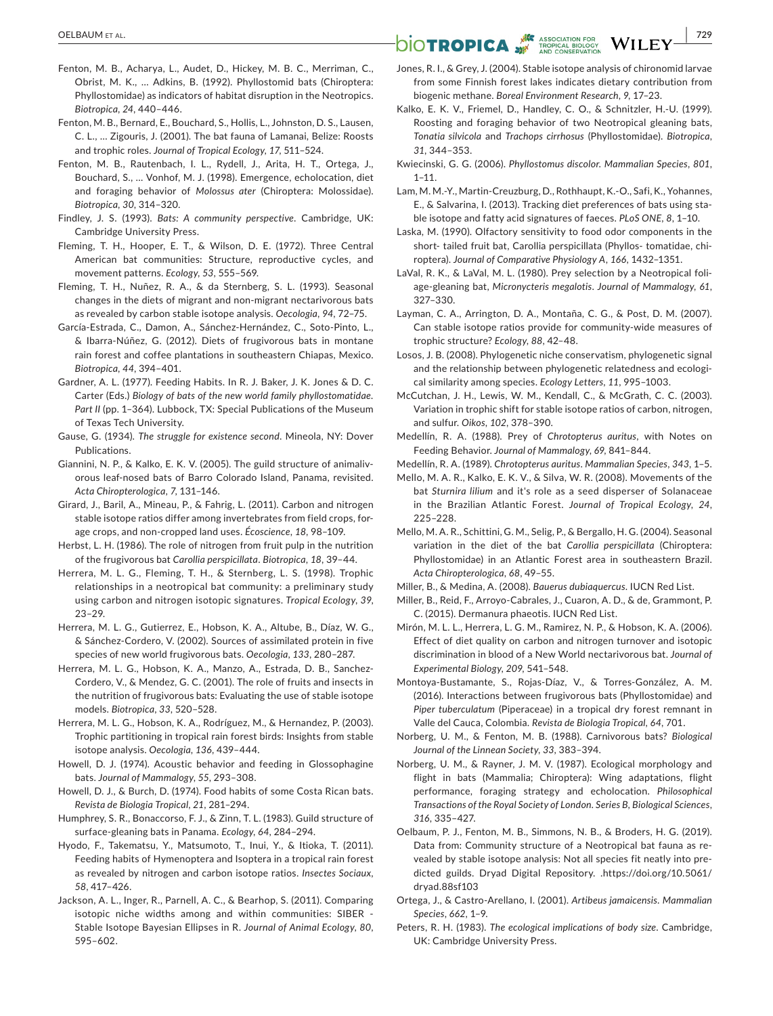- Fenton, M. B., Acharya, L., Audet, D., Hickey, M. B. C., Merriman, C., Obrist, M. K., … Adkins, B. (1992). Phyllostomid bats (Chiroptera: Phyllostomidae) as indicators of habitat disruption in the Neotropics. *Biotropica*, *24*, 440–446.
- Fenton, M. B., Bernard, E., Bouchard, S., Hollis, L., Johnston, D. S., Lausen, C. L., … Zigouris, J. (2001). The bat fauna of Lamanai, Belize: Roosts and trophic roles. *Journal of Tropical Ecology*, *17*, 511–524.
- Fenton, M. B., Rautenbach, I. L., Rydell, J., Arita, H. T., Ortega, J., Bouchard, S., … Vonhof, M. J. (1998). Emergence, echolocation, diet and foraging behavior of *Molossus ater* (Chiroptera: Molossidae). *Biotropica*, *30*, 314–320.
- Findley, J. S. (1993). *Bats: A community perspective*. Cambridge, UK: Cambridge University Press.
- Fleming, T. H., Hooper, E. T., & Wilson, D. E. (1972). Three Central American bat communities: Structure, reproductive cycles, and movement patterns. *Ecology*, *53*, 555–569.
- Fleming, T. H., Nuñez, R. A., & da Sternberg, S. L. (1993). Seasonal changes in the diets of migrant and non‐migrant nectarivorous bats as revealed by carbon stable isotope analysis. *Oecologia*, *94*, 72–75.
- García‐Estrada, C., Damon, A., Sánchez‐Hernández, C., Soto‐Pinto, L., & Ibarra‐Núñez, G. (2012). Diets of frugivorous bats in montane rain forest and coffee plantations in southeastern Chiapas, Mexico. *Biotropica*, *44*, 394–401.
- Gardner, A. L. (1977). Feeding Habits. In R. J. Baker, J. K. Jones & D. C. Carter (Eds.) *Biology of bats of the new world family phyllostomatidae.*  Part II (pp. 1-364). Lubbock, TX: Special Publications of the Museum of Texas Tech University.
- Gause, G. (1934). *The struggle for existence second*. Mineola, NY: Dover Publications.
- Giannini, N. P., & Kalko, E. K. V. (2005). The guild structure of animaliv‐ orous leaf‐nosed bats of Barro Colorado Island, Panama, revisited. *Acta Chiropterologica*, *7*, 131–146.
- Girard, J., Baril, A., Mineau, P., & Fahrig, L. (2011). Carbon and nitrogen stable isotope ratios differ among invertebrates from field crops, for‐ age crops, and non‐cropped land uses. *Écoscience*, *18*, 98–109.
- Herbst, L. H. (1986). The role of nitrogen from fruit pulp in the nutrition of the frugivorous bat *Carollia perspicillata*. *Biotropica*, *18*, 39–44.
- Herrera, M. L. G., Fleming, T. H., & Sternberg, L. S. (1998). Trophic relationships in a neotropical bat community: a preliminary study using carbon and nitrogen isotopic signatures. *Tropical Ecology*, *39*, 23–29.
- Herrera, M. L. G., Gutierrez, E., Hobson, K. A., Altube, B., Díaz, W. G., & Sánchez‐Cordero, V. (2002). Sources of assimilated protein in five species of new world frugivorous bats. *Oecologia*, *133*, 280–287.
- Herrera, M. L. G., Hobson, K. A., Manzo, A., Estrada, D. B., Sanchez-Cordero, V., & Mendez, G. C. (2001). The role of fruits and insects in the nutrition of frugivorous bats: Evaluating the use of stable isotope models. *Biotropica*, *33*, 520–528.
- Herrera, M. L. G., Hobson, K. A., Rodríguez, M., & Hernandez, P. (2003). Trophic partitioning in tropical rain forest birds: Insights from stable isotope analysis. *Oecologia*, *136*, 439–444.
- Howell, D. J. (1974). Acoustic behavior and feeding in Glossophagine bats. *Journal of Mammalogy*, *55*, 293–308.
- Howell, D. J., & Burch, D. (1974). Food habits of some Costa Rican bats. *Revista de Biologia Tropical*, *21*, 281–294.
- Humphrey, S. R., Bonaccorso, F. J., & Zinn, T. L. (1983). Guild structure of surface‐gleaning bats in Panama. *Ecology*, *64*, 284–294.
- Hyodo, F., Takematsu, Y., Matsumoto, T., Inui, Y., & Itioka, T. (2011). Feeding habits of Hymenoptera and Isoptera in a tropical rain forest as revealed by nitrogen and carbon isotope ratios. *Insectes Sociaux*, *58*, 417–426.
- Jackson, A. L., Inger, R., Parnell, A. C., & Bearhop, S. (2011). Comparing isotopic niche widths among and within communities: SIBER ‐ Stable Isotope Bayesian Ellipses in R. *Journal of Animal Ecology*, *80*, 595–602.

# **DELBAUM ET AL. NETALROPICA** WILEY **1999**

- Jones, R. I., & Grey, J. (2004). Stable isotope analysis of chironomid larvae from some Finnish forest lakes indicates dietary contribution from biogenic methane. *Boreal Environment Research*, *9*, 17–23.
- Kalko, E. K. V., Friemel, D., Handley, C. O., & Schnitzler, H.‐U. (1999). Roosting and foraging behavior of two Neotropical gleaning bats, *Tonatia silvicola* and *Trachops cirrhosus* (Phyllostomidae). *Biotropica*, *31*, 344–353.
- Kwiecinski, G. G. (2006). *Phyllostomus discolor*. *Mammalian Species*, *801*,  $1 - 11$ .
- Lam, M. M.‐Y., Martin‐Creuzburg, D., Rothhaupt, K.‐O., Safi, K., Yohannes, E., & Salvarina, I. (2013). Tracking diet preferences of bats using sta‐ ble isotope and fatty acid signatures of faeces. *PLoS ONE*, *8*, 1–10.
- Laska, M. (1990). Olfactory sensitivity to food odor components in the short- tailed fruit bat, Carollia perspicillata (Phyllos- tomatidae, chi‐ roptera). *Journal of Comparative Physiology A*, *166*, 1432–1351.
- LaVal, R. K., & LaVal, M. L. (1980). Prey selection by a Neotropical foli‐ age‐gleaning bat, *Micronycteris megalotis*. *Journal of Mammalogy*, *61*, 327–330.
- Layman, C. A., Arrington, D. A., Montaña, C. G., & Post, D. M. (2007). Can stable isotope ratios provide for community‐wide measures of trophic structure? *Ecology*, *88*, 42–48.
- Losos, J. B. (2008). Phylogenetic niche conservatism, phylogenetic signal and the relationship between phylogenetic relatedness and ecological similarity among species. *Ecology Letters*, *11*, 995–1003.
- McCutchan, J. H., Lewis, W. M., Kendall, C., & McGrath, C. C. (2003). Variation in trophic shift for stable isotope ratios of carbon, nitrogen, and sulfur. *Oikos*, *102*, 378–390.
- Medellín, R. A. (1988). Prey of *Chrotopterus auritus*, with Notes on Feeding Behavior. *Journal of Mammalogy*, *69*, 841–844.
- Medellín, R. A. (1989). *Chrotopterus auritus*. *Mammalian Species*, *343*, 1–5.
- Mello, M. A. R., Kalko, E. K. V., & Silva, W. R. (2008). Movements of the bat *Sturnira lilium* and it's role as a seed disperser of Solanaceae in the Brazilian Atlantic Forest. *Journal of Tropical Ecology*, *24*, 225–228.
- Mello, M. A. R., Schittini, G. M., Selig, P., & Bergallo, H. G. (2004). Seasonal variation in the diet of the bat *Carollia perspicillata* (Chiroptera: Phyllostomidae) in an Atlantic Forest area in southeastern Brazil. *Acta Chiropterologica*, *68*, 49–55.

Miller, B., & Medina, A. (2008). *Bauerus dubiaquercus*. IUCN Red List.

- Miller, B., Reid, F., Arroyo‐Cabrales, J., Cuaron, A. D., & de, Grammont, P. C. (2015). Dermanura phaeotis. IUCN Red List.
- Mirón, M. L. L., Herrera, L. G. M., Ramirez, N. P., & Hobson, K. A. (2006). Effect of diet quality on carbon and nitrogen turnover and isotopic discrimination in blood of a New World nectarivorous bat. *Journal of Experimental Biology*, *209*, 541–548.
- Montoya‐Bustamante, S., Rojas‐Díaz, V., & Torres‐González, A. M. (2016). Interactions between frugivorous bats (Phyllostomidae) and *Piper tuberculatum* (Piperaceae) in a tropical dry forest remnant in Valle del Cauca, Colombia. *Revista de Biologia Tropical*, *64*, 701.
- Norberg, U. M., & Fenton, M. B. (1988). Carnivorous bats? *Biological Journal of the Linnean Society*, *33*, 383–394.
- Norberg, U. M., & Rayner, J. M. V. (1987). Ecological morphology and flight in bats (Mammalia; Chiroptera): Wing adaptations, flight performance, foraging strategy and echolocation. *Philosophical Transactions of the Royal Society of London. Series B, Biological Sciences*, *316*, 335–427.
- Oelbaum, P. J., Fenton, M. B., Simmons, N. B., & Broders, H. G. (2019). Data from: Community structure of a Neotropical bat fauna as re‐ vealed by stable isotope analysis: Not all species fit neatly into pre‐ dicted guilds. Dryad Digital Repository. [.https://doi.org/10.5061/](https://doi.org/10.5061/dryad.88sf103) [dryad.88sf103](https://doi.org/10.5061/dryad.88sf103)
- Ortega, J., & Castro‐Arellano, I. (2001). *Artibeus jamaicensis*. *Mammalian Species*, *662*, 1–9.
- Peters, R. H. (1983). *The ecological implications of body size*. Cambridge, UK: Cambridge University Press.